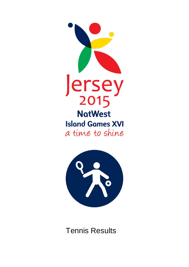



Tennis Results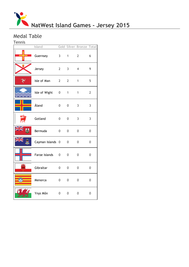

## Medal Table Tennis

| <u>rennis</u> |                  |                |                |                          |                |
|---------------|------------------|----------------|----------------|--------------------------|----------------|
|               | Island           |                |                | Gold Silver Bronze Total |                |
|               | Guernsey         | 3 <sup>7</sup> |                | $1 \t 2$                 | 6              |
|               | Jersey           | $2^{\sim}$     | $\mathbf{3}$   | $\overline{4}$           | 9              |
|               | Isle of Man      | $\overline{2}$ | $\overline{2}$ | $\mathbf{1}$             | 5              |
|               | Isle of Wight 0  |                | 1              | $\mathbf{1}$             | $\overline{2}$ |
|               | Åland            | 0              | 0              | 3                        | 3              |
|               | Gotland          | 0              | 0              | 3                        | 3              |
| A             | Bermuda          | $\mathbf 0$    | 0              | $\mathbf 0$              | 0              |
|               | Cayman Islands 0 |                | 0              | $\boldsymbol{0}$         | 0              |
|               | Faroe Islands    | $\overline{0}$ | 0              | 0                        | 0              |
| щ             | Gibraltar        | $\mathbf 0$    | 0              | 0                        | 0              |
|               | Menorca          | $\overline{0}$ | $\overline{0}$ | 0                        | 0              |
|               | Ynys Môn         | $\overline{0}$ | 0              | 0                        | $\overline{0}$ |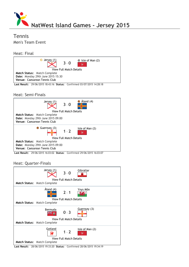

# Tennis Men's Team Event

## Heat: Final



#### Heat: Semi‐Finals



Last Result: 29/06/2015 16:03:02 Status: Confirmed 29/06/2015 16:03:07

## Heat: Quarter‐Finals

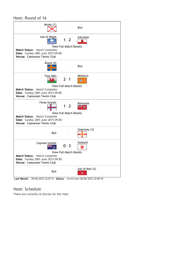# Heat: Round of 16

| Jersey (1)                                                                                        |                                    | Bye             |
|---------------------------------------------------------------------------------------------------|------------------------------------|-----------------|
| Isle of Wight                                                                                     | $1 - 2$<br>View Full Match Details | Gibraltar<br>풀  |
| Match Status: Match Complete<br>Date: Sunday 28th June 2015 09:00<br>Venue: Caesarean Tennis Club |                                    |                 |
| Åland (4)                                                                                         |                                    | Bye             |
| Ynys Môn                                                                                          | $2 - 1$                            | Menorca         |
|                                                                                                   | <b>View Full Match Details</b>     |                 |
| Match Status: Match Complete                                                                      |                                    |                 |
| Date: Sunday 28th June 2015 09:00                                                                 |                                    |                 |
| Venue: Caesarean Tennis Club                                                                      |                                    |                 |
|                                                                                                   |                                    |                 |
| Faroe Islands                                                                                     | $1 - 2$                            | Bermuda<br>ŦН   |
|                                                                                                   | View Full Match Details            |                 |
| Match Status: Match Complete                                                                      |                                    |                 |
| Date: Sunday 28th June 2015 09:00                                                                 |                                    |                 |
| Venue: Caesarean Tennis Club                                                                      |                                    |                 |
| Bye                                                                                               |                                    | Guernsey (3)    |
| Cayman Islands                                                                                    | $0 - 3$                            | Gotland         |
|                                                                                                   | <b>View Full Match Details</b>     |                 |
| Match Status: Match Complete<br>Date: Sunday 28th June 2015 09:00<br>Venue: Caesarean Tennis Club |                                    |                 |
| Bye                                                                                               |                                    | Isle of Man (2) |
| 28/06/2015 22:07:31 Status: Confirmed 28/06/2015 22:09:10<br>Last Result:                         |                                    |                 |

# Heat: Schedule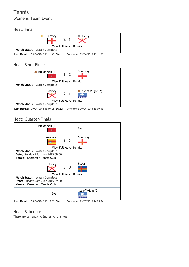# Tennis Womens' Team Event

### Heat: Final



Last Result: 29/06/2015 16:11:46 Status: Confirmed 29/06/2015 16:11:53

### Heat: Semi‐Finals



Last Result: 29/06/2015 16:09:05 Status: Confirmed 29/06/2015 16:09:13

## Heat: Quarter‐Finals



Last Result: 28/06/2015 15:10:03 Status: Confirmed 03/07/2015 14:28:34

#### Heat: Schedule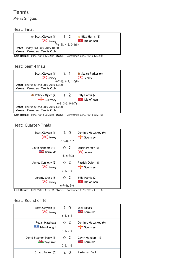Tennis Men's Singles

Heat: Final



Last Result: 03/07/2015 12:32:34 Status: Confirmed 03/07/2015 12:32:46

#### Heat: Semi‐Finals



Last Result: 02/07/2015 20:20:48 Status: Confirmed 02/07/2015 20:21:06

#### Heat: Quarter‐Finals



Last Result: 01/07/2015 13:31:31 Status: Confirmed 01/07/2015 13:31:39

| Scott Clayton (1)<br><b>X</b> Jersey          | $2 - 0$    | Jack Keyes<br><b>Externe Bermuda</b>           |
|-----------------------------------------------|------------|------------------------------------------------|
|                                               | $6-3, 6-1$ |                                                |
| Regan Matthews<br><b>See Isle of Wight</b>    | $0 - 2$    | Dominic McLuskey (9)<br>Guernsey               |
|                                               | $1-6, 3-6$ |                                                |
| David Stephen Parry (3)<br><b>WS</b> Ynys Môn | $0 - 2$    | Gavin Manders (13)<br><b>Example 1</b> Bermuda |
|                                               | $2-6, 1-6$ |                                                |
| Stuart Parker (6)                             | $7 - 0$    | Pætur M. Dahl                                  |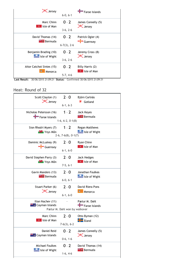| <b>X</b> Jersey           | $6-0, 6-1$     | $\blacksquare$ Faroe Islands  |
|---------------------------|----------------|-------------------------------|
| Marc Chinn                | $0 - 2$        | James Connelly (5)            |
| Isle of Man               | $3-6, 2-6$     | <b>X</b> Jersey               |
| David Thomas (14)         | $0 - 2$        | Patrick Ogier (4)             |
| <b>Externe Bermuda</b>    | $6-7(3)$ , 2-6 | $\frac{1}{\sqrt{2}}$ Guernsey |
| Benjamin Brading (10)     | $0 - 2$        | Jeremy Cross (8)              |
| Isle of Wight             | $3-6, 2-6$     | <b>X</b> Jersey               |
| Aitor Catchot Sintes (15) | $0 - 2$        | Billy Harris (2)              |
| Menorca                   | $5-7, 4-6$     | Isle of Man                   |

Last Result: 30/06/2015 21:09:21 Status: Confirmed 30/06/2015 21:09:31

| Scott Clayton (1)                                   | $2 - 0$                       | Björn Carlnäs                  |
|-----------------------------------------------------|-------------------------------|--------------------------------|
| <b>X</b> Jersey                                     | $6-1, 6-3$                    | Gotland                        |
| Nicholas Petersson (16)                             | $1 - 2$                       | Jack Keyes                     |
| Faroe Islands                                       | $1-6, 6-2, 0-1(8)$            | <b>Bermuda</b>                 |
| Sion Rhodri Myers (7)                               | $1 - 2$                       | Regan Matthews                 |
| <b>Wash</b> Ynys Môn                                | $2-6, 7-6(8), 0-1(7)$         | Isle of Wight                  |
| Dominic McLuskey (9)                                | $2 - 0$                       | Ryan Chinn                     |
| $\frac{1}{\sqrt{2}}$ Guernsey                       | $6-1, 6-0$                    | <b>P</b> Isle of Man           |
| David Stephen Parry (3)                             | $2 - 0$                       | Jack Hedges                    |
| <b>Washing Ynys Môn</b>                             | $7-5, 6-1$                    | $\mathbb{R}$ Isle of Man       |
| Gavin Manders (13)                                  | $2 - 0$                       | Jonathan Foulkes               |
| <b>EFT</b> Bermuda                                  | $6-0, 6-1$                    | Isle of Wight                  |
| Stuart Parker (6)                                   | $2 - 0$                       | David Riera Pons               |
| <b>X</b> Jersey                                     | $6-1, 6-0$                    | Menorca                        |
| Ilian Nachev (11)<br><b>XX &amp; Cayman Islands</b> | Pætur M. Dahl won by walkover | Pætur M. Dahl<br>Faroe Islands |
| Marc Chinn                                          | $2 - 0$                       | Otto Byman (12)                |
| ₹ Isle of Man                                       | $7-6(3), 6-2$                 | <b>Hand</b> Åland              |
| Daniel Reid                                         | $0 - 2$                       | James Connelly (5)             |
| <b>L</b> Cayman Islands                             | $0-6, 1-6$                    | X Jersey                       |
| Michael Foulkes                                     | $0 - 2$                       | David Thomas (14)              |
| <b>Record Isle of Wight</b>                         | $1-6, 4-6$                    | <b>Bermuda</b>                 |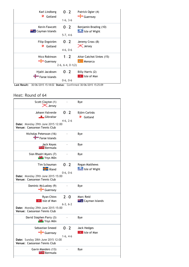| Karl Lindberg           | $0 - 2$            | Patrick Ogier (4)             |
|-------------------------|--------------------|-------------------------------|
| ₹<br>Gotland            | $1-6, 3-6$         | $\frac{1}{\sqrt{2}}$ Guernsey |
| <b>Kevin Fawcett</b>    | $0 - 2$            | Benjamin Brading (10)         |
| <b>E</b> Cayman Islands | $5-7, 4-6$         | Isle of Wight                 |
| Filip Engström          | $0 - 2$            | Jeremy Cross (8)              |
| Gotland                 | $4-6, 0-6$         | <b>X</b> Jersey               |
| Nico Robinson           | $1 - 2$            | Aitor Catchot Sintes (15)     |
| Guernsey                | $2-6, 6-4, 0-1(2)$ | Menorca                       |
| Hjalti Jacobsen         | $0 - 2$            | Billy Harris (2)              |
| Faroe Islands           | $0-6, 0-6$         | Isle of Man                   |

Last Result: 30/06/2015 15:18:02 Status: Confirmed 30/06/2015 15:25:09

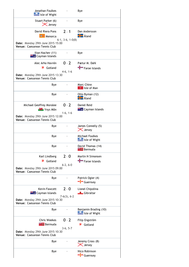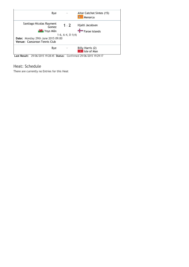

Last Result: 29/06/2015 19:28:45 Status: Confirmed 29/06/2015 19:29:17

## Heat: Schedule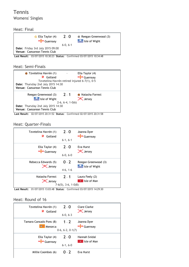Tennis Womens' Singles

Heat: Final



Last Result: 03/07/2015 10:30:23 Status: Confirmed 03/07/2015 10:34:48

Heat: Semi‐Finals



Last Result: 02/07/2015 20:31:52 Status: Confirmed 02/07/2015 20:31:58

#### Heat: Quarter‐Finals



Last Result: 01/07/2015 13:03:48 Status: Confirmed 03/07/2015 14:29:30

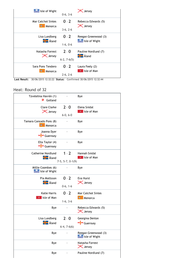| Isle of Wight             | $0-6, 3-6$    | <b>X</b> Jersey      |
|---------------------------|---------------|----------------------|
| <b>Mar Catchot Sintes</b> | $0 - 2$       | Rebecca Edwards (5)  |
| Menorca                   | $3-6, 2-6$    | <b>X</b> Jersey      |
| Lisa Lundberg             | $0 - 2$       | Reegan Greenwood (3) |
| $\frac{1}{2}$ Åland       | $1-6, 0-6$    | Isle of Wight        |
| Natasha Forrest           | $2 - 0$       | Pauline Nordlund (7) |
| <b>X</b> Jersey           | $6-2, 7-6(5)$ | $\frac{1}{2}$ Åland  |
| Sara Pons Tendero         | $0 - 2$       | Laura Feely (2)      |
| Menorca                   | $2-6, 2-6$    | Isle of Man          |

Last Result: 30/06/2015 12:32:22 Status: Confirmed 30/06/2015 12:32:44

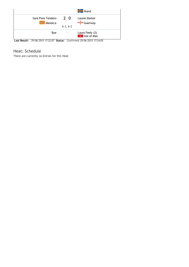

Last Result: 29/06/2015 17:22:07 Status: Confirmed 29/06/2015 17:24:05

Heat: Schedule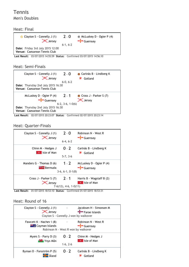# Tennis Men's Doubles

#### Heat: Final



Last Result: 03/07/2015 14:55:59 Status: Confirmed 03/07/2015 14:56:10

#### Heat: Semi‐Finals



Last Result: 02/07/2015 20:23:07 Status: Confirmed 02/07/2015 20:23:14

#### Heat: Quarter‐Finals



Last Result: 01/07/2015 18:53:10 Status: Confirmed 01/07/2015 18:53:31

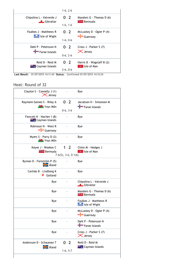

Last Result: 01/07/2015 14:11:43 Status: Confirmed 01/07/2015 14:12:24

| Clayton S - Connelly J (1)<br><b>X</b> Jersey       |                                   | Bye                                              |
|-----------------------------------------------------|-----------------------------------|--------------------------------------------------|
| Rayment Gomez S - Riley A<br><b>WAY</b> Ynys Môn    | $0 - 2$<br>$0-6, 3-6$             | Jacobsen H - Simonsen M<br>Faroe Islands         |
| Fawcett K - Nachev I (8)<br><b>E</b> Cayman Islands |                                   | Bye                                              |
| Robinson N - West R<br>Guernsey                     |                                   | Bye                                              |
| Myers S - Parry D (3)<br><b>W</b> Ynys Môn          |                                   | Bye                                              |
| Keyes J - Weekes C<br><b>Externe Bermuda</b>        | $1 - 2$<br>$7-6(5)$ , 3-6, 0-1(6) | Chinn M - Hedges J<br>$\mathbb{R}$ Isle of Man   |
| Byman O - Forsström P (5)<br><b>H</b> Aland         |                                   | Bye                                              |
| Carlnäs B - Lindberg K<br>₹<br>Gotland              |                                   | Bye                                              |
| Bye                                                 |                                   | Chipolina L - Valverde J<br><b>Gibraltar</b>     |
| Bye                                                 | $\frac{1}{2}$                     | Manders G - Thomas D (6)<br><b>Extra</b> Bermuda |
| Bye                                                 |                                   | Foulkes J - Matthews R<br>Isle of Wight          |
| Bye                                                 | ÷,                                | McLuskey D - Ogier P (4)<br>Guernsey             |
| Bye                                                 |                                   | Dahl P - Petersson N<br>Faroe Islands            |
| Bye                                                 |                                   | Cross J - Parker S (7)<br><b>X</b> Jersey        |
| Andersson D - Schauman T<br><b>He</b> Åland         | $0 - 2$<br>$1-6, 5-7$             | Reid D - Reid M<br><b>Extrac</b> Cayman Islands  |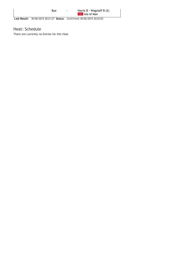Last Result: 30/06/2015 20:21:27 Status: Confirmed 30/06/2015 20:22:03

## Heat: Schedule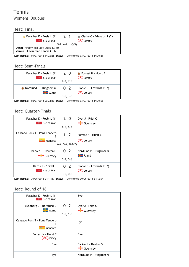# Tennis Womens' Doubles

Heat: Final

| Faragher K - Feely L (1)                | $2 - 1$            | Clarke C - Edwards R (2) |
|-----------------------------------------|--------------------|--------------------------|
| <b>P</b> Isle of Man                    |                    | $\mathsf{\times}$ Jersey |
|                                         | $5-7, 6-2, 1-0(5)$ |                          |
| <b>Date:</b> Friday 3rd July 2015 13:30 |                    |                          |
| Venue: Caesarean Tennis Club            |                    |                          |

Last Result: 03/07/2015 14:26:28 Status: Confirmed 03/07/2015 14:30:21

#### Heat: Semi‐Finals



Last Result: 02/07/2015 20:24:13 Status: Confirmed 03/07/2015 14:30:06

## Heat: Quarter‐Finals



| Faragher K - Feely L (1)<br>Isle of Man       |                       | Bye                             |
|-----------------------------------------------|-----------------------|---------------------------------|
| Lundberg L - Nordlund C<br><b>H</b> Aland     | $0 - 2$<br>$1-6, 1-6$ | Dyer J - Frith C<br>Guernsey    |
| Cansado Pons T - Pons Tendero<br>ς<br>Menorca |                       | Bye                             |
| Forrest N - Hurst E<br><b>X</b> Jersey        |                       | Bye                             |
| Bye                                           |                       | Barker L - Denton G<br>Guernsey |
| Bye                                           |                       | Nordlund P - Ringbom M          |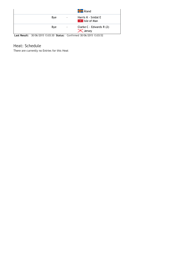|     |   | <b>H</b> Åland                              |
|-----|---|---------------------------------------------|
| Bye | ٠ | Harris K - Snidal E<br><b>P</b> Isle of Man |
| Bye | ۰ | Clarke C - Edwards R (2)<br><b>X</b> Jersey |

Last Result: 30/06/2015 13:03:30 Status: Confirmed 30/06/2015 13:03:52

# Heat: Schedule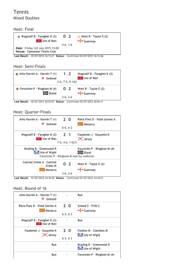# Tennis Mixed Doubles

#### Heat: Final



Last Result: 03/07/2015 16:13:31 Status: Confirmed 03/07/2015 16:13:46

## Heat: Semi‐Finals



Last Result: 02/07/2015 20:25:57 Status: Confirmed 02/07/2015 20:26:11

# Heat: Quarter‐Finals



Last Result: 01/07/2015 14:16:30 Status: Confirmed 01/07/2015 14:16:51

| Arho Havrén A - Havrén T (1)<br>Gotland    |                       | Bye                                                  |
|--------------------------------------------|-----------------------|------------------------------------------------------|
| Riera Pons D - Vidal Gornes A<br>Menorca   | $7 - 0$<br>$6-3, 6-3$ | Smeed S - Frith C<br>$\frac{1}{2}$ Guernsey          |
| Wagstaff B - Faragher K (3)<br>Isle of Man |                       | Bye                                                  |
| Faudemer J - Gouyette K<br><b>X</b> Jersey | $2 - 0$<br>$6-3, 6-3$ | Foulkes M - Coombes M<br><b>Season Isle of Wight</b> |
| Bye                                        |                       | Brading B - Greenwood R<br>Isle of Wight             |
| Bye                                        |                       | Forsström P - Ringbom M (4)                          |